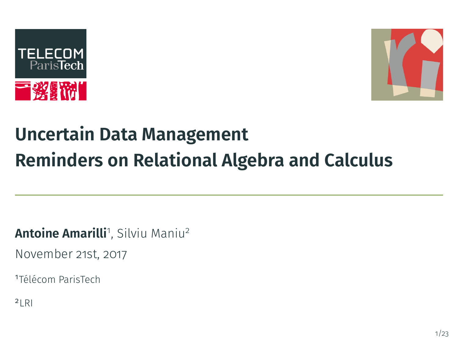



# **Uncertain Data Management Reminders on Relational Algebra and Calculus**

**Antoine Amarilli**1, Silviu Maniu<sup>2</sup>

November 21st, 2017

<sup>1</sup>Télécom ParisTech

 $2$ <sub>LRI</sub>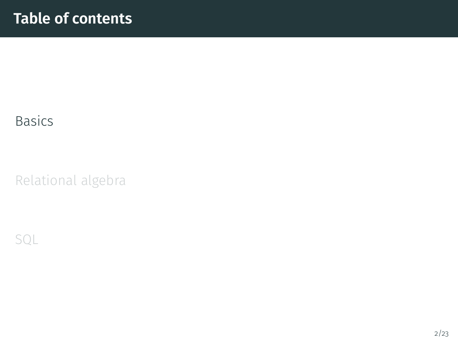### <span id="page-1-0"></span>[Basics](#page-1-0)

[Relational algebra](#page-9-0)

[SQL](#page-51-0)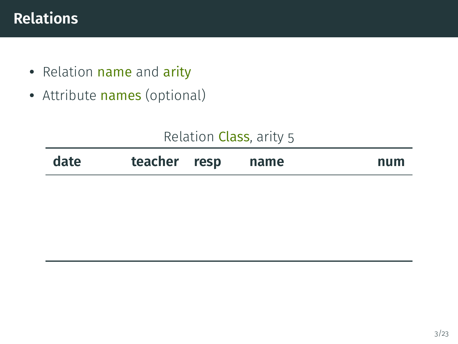## **Relations**

- Relation name and arity
- Attribute names (optional)

| Relation Class, arity 5 |  |  |  |
|-------------------------|--|--|--|
|-------------------------|--|--|--|

| date | teacher resp |  | name | num |
|------|--------------|--|------|-----|
|------|--------------|--|------|-----|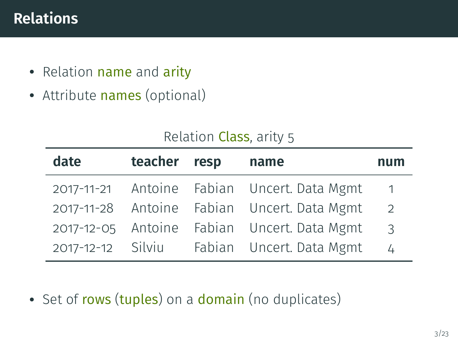## **Relations**

- Relation name and arity
- Attribute names (optional)

| Relation Class, arity 5 |  |  |  |
|-------------------------|--|--|--|
|-------------------------|--|--|--|

| date | teacher resp | name                                        | num            |
|------|--------------|---------------------------------------------|----------------|
|      |              | 2017-11-21 Antoine Fabian Uncert. Data Mgmt | $\overline{1}$ |
|      |              | 2017-11-28 Antoine Fabian Uncert. Data Mgmt | $\overline{2}$ |
|      |              | 2017-12-05 Antoine Fabian Uncert. Data Mgmt | $\mathcal{E}$  |
|      |              | 2017-12-12 Silviu Fabian Uncert. Data Mgmt  | $\frac{1}{4}$  |

• Set of rows (tuples) on a domain (no duplicates)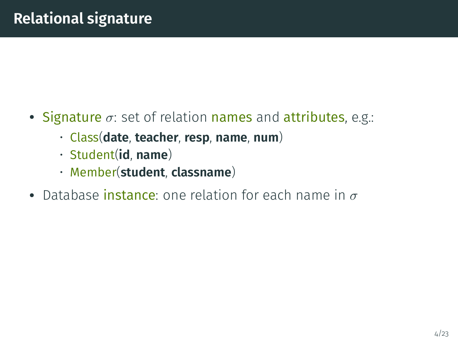- Signature  $\sigma$ : set of relation names and attributes, e.g.:
	- Class(**date**, **teacher**, **resp**, **name**, **num**)
	- Student(**id**, **name**)
	- Member(**student**, **classname**)
- Database instance: one relation for each name in  $\sigma$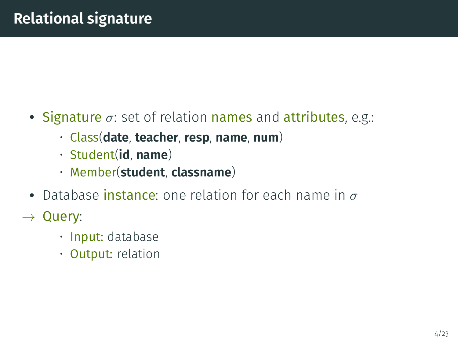- Signature  $\sigma$ : set of relation names and attributes, e.g.:
	- Class(**date**, **teacher**, **resp**, **name**, **num**)
	- Student(**id**, **name**)
	- Member(**student**, **classname**)
- Database instance: one relation for each name in  $\sigma$
- $\rightarrow$  Query:
	- Input: database
	- Output: relation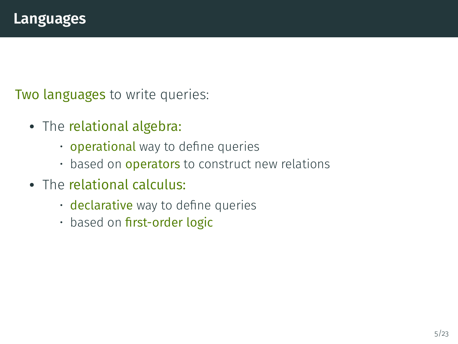Two languages to write queries:

- The relational algebra:
	- operational way to define queries
	- based on **operators** to construct new relations
- The relational calculus:
	- declarative way to define queries
	- based on first-order logic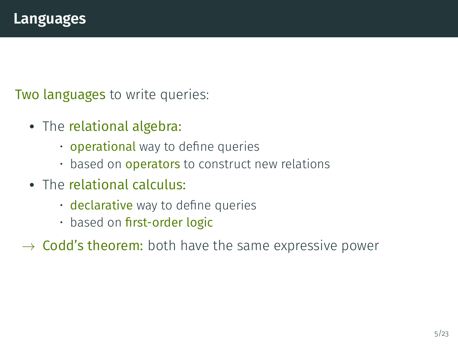Two languages to write queries:

- The relational algebra:
	- operational way to define queries
	- based on **operators** to construct new relations
- The relational calculus:
	- $\cdot$  declarative way to define queries
	- based on first-order logic
- $\rightarrow$  Codd's theorem: both have the same expressive power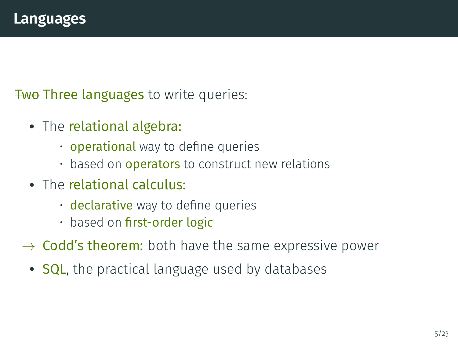**Two Three languages to write queries:** 

- The relational algebra:
	- operational way to define queries
	- based on **operators** to construct new relations
- The relational calculus:
	- $\cdot$  declarative way to define queries
	- based on first-order logic
- $\rightarrow$  Codd's theorem: both have the same expressive power
	- SQL, the practical language used by databases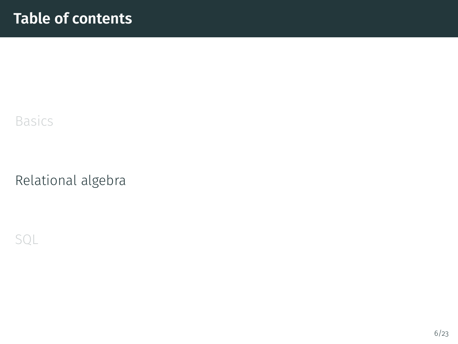### <span id="page-9-0"></span>[Basics](#page-1-0)

#### [Relational algebra](#page-9-0)

[SQL](#page-51-0)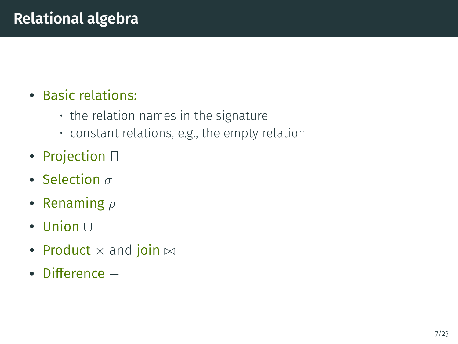# • Basic relations:

- the relation names in the signature
- constant relations, e.g., the empty relation
- Projection Π
- Selection  $\sigma$
- Renaming  $\rho$
- Union <sup>∪</sup>
- Product  $\times$  and join  $\bowtie$
- Difference  $-$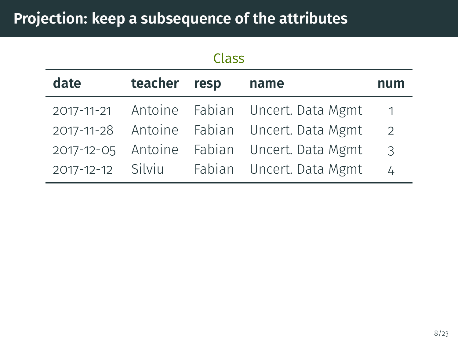|      |              | Class |                                             |            |
|------|--------------|-------|---------------------------------------------|------------|
| date | teacher resp |       | name                                        | num        |
|      |              |       | 2017-11-21 Antoine Fabian Uncert. Data Mgmt | $\sqrt{1}$ |
|      |              |       | 2017-11-28 Antoine Fabian Uncert. Data Mgmt | 2          |
|      |              |       | 2017-12-05 Antoine Fabian Uncert. Data Mgmt | 3          |
|      |              |       | 2017-12-12 Silviu Fabian Uncert. Data Mgmt  | 4          |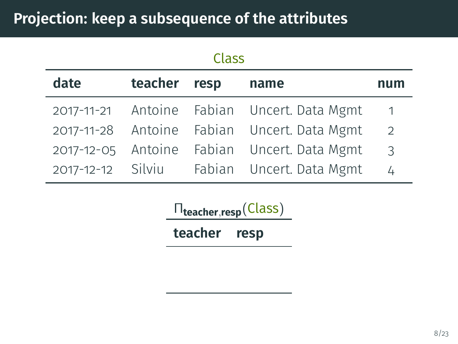| <b>Class</b> |              |  |                                             |                |
|--------------|--------------|--|---------------------------------------------|----------------|
| date         | teacher resp |  | name                                        | num            |
|              |              |  | 2017-11-21 Antoine Fabian Uncert. Data Mgmt | $\overline{1}$ |
|              |              |  | 2017-11-28 Antoine Fabian Uncert. Data Mgmt | 2              |
|              |              |  | 2017-12-05 Antoine Fabian Uncert. Data Mgmt | 3              |
|              |              |  | 2017-12-12 Silviu Fabian Uncert. Data Mgmt  | 4              |

Π**teacher**,**resp**(Class) **teacher resp**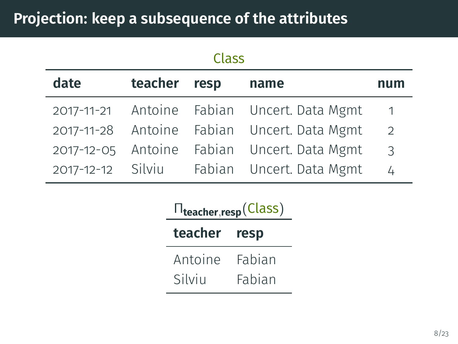|                   |              | Class |                                             |                |
|-------------------|--------------|-------|---------------------------------------------|----------------|
| date              | teacher resp |       | name                                        | num            |
|                   |              |       | 2017-11-21 Antoine Fabian Uncert. Data Mgmt | $\overline{1}$ |
|                   |              |       | 2017-11-28 Antoine Fabian Uncert. Data Mgmt | 2              |
|                   |              |       | 2017-12-05 Antoine Fabian Uncert. Data Mgmt | 3              |
| 2017-12-12 Silviu |              |       | Fabian Uncert. Data Mgmt                    | 4              |

|              | $\Pi_{\text{teacher},\text{resp}}(\text{Class})$ |
|--------------|--------------------------------------------------|
| teacher resp |                                                  |
| Antoine      | Fabian                                           |
| Silviu       | Fabian                                           |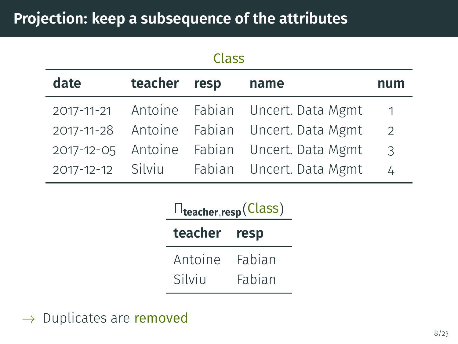| Class |              |  |                                             |                |
|-------|--------------|--|---------------------------------------------|----------------|
| date  | teacher resp |  | name                                        | num            |
|       |              |  | 2017-11-21 Antoine Fabian Uncert. Data Mgmt | $\overline{1}$ |
|       |              |  | 2017-11-28 Antoine Fabian Uncert. Data Mgmt | 2              |
|       |              |  | 2017-12-05 Antoine Fabian Uncert. Data Mgmt | 3              |
|       |              |  | 2017-12-12 Silviu Fabian Uncert. Data Mgmt  | 4              |

|              | $\Pi_{\text{teacher},\text{resp}}(\text{Class})$ |
|--------------|--------------------------------------------------|
| teacher resp |                                                  |
| Antoine      | Fabian                                           |
| Silviu       | Fabian                                           |

 $\rightarrow$  Duplicates are removed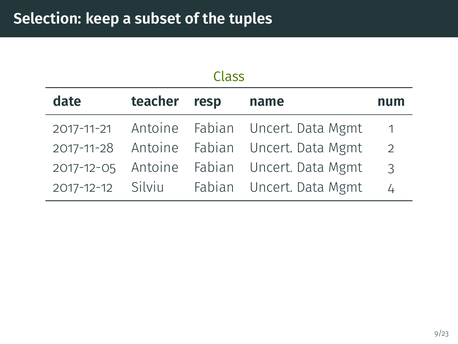| Class |              |  |                                             |                |
|-------|--------------|--|---------------------------------------------|----------------|
| date  | teacher resp |  | name                                        | num            |
|       |              |  | 2017-11-21 Antoine Fabian Uncert. Data Mgmt | $\overline{1}$ |
|       |              |  | 2017-11-28 Antoine Fabian Uncert. Data Mgmt | 2              |
|       |              |  | 2017-12-05 Antoine Fabian Uncert. Data Mgmt | 3              |
|       |              |  | 2017-12-12 Silviu Fabian Uncert. Data Mgmt  | 4              |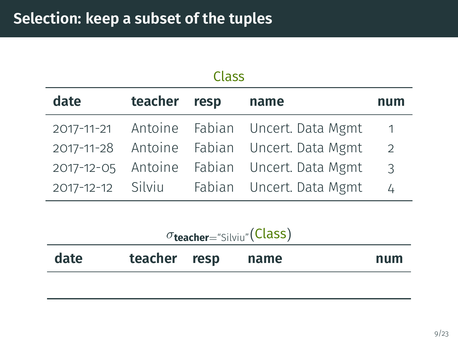| Class |              |  |                                             |                |
|-------|--------------|--|---------------------------------------------|----------------|
| date  | teacher resp |  | name                                        | num            |
|       |              |  | 2017-11-21 Antoine Fabian Uncert. Data Mgmt | $\overline{1}$ |
|       |              |  | 2017-11-28 Antoine Fabian Uncert. Data Mgmt | 2              |
|       |              |  | 2017-12-05 Antoine Fabian Uncert. Data Mgmt | 3              |
|       |              |  | 2017-12-12 Silviu Fabian Uncert. Data Mgmt  | 4              |

| $\sigma$ teacher="Silviu"(Class) |  |  |  |
|----------------------------------|--|--|--|
|----------------------------------|--|--|--|

| date | teacher resp | name | num |
|------|--------------|------|-----|
|      |              |      |     |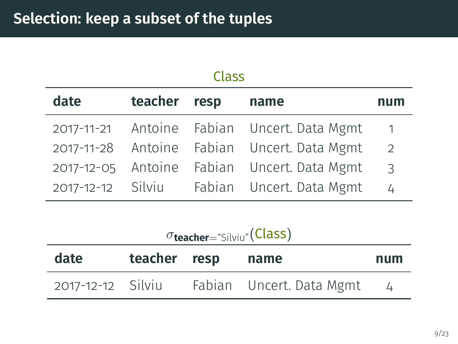| Class |              |  |                                             |                |  |  |
|-------|--------------|--|---------------------------------------------|----------------|--|--|
| date  | teacher resp |  | name                                        | num            |  |  |
|       |              |  | 2017-11-21 Antoine Fabian Uncert. Data Mgmt | $\overline{1}$ |  |  |
|       |              |  | 2017-11-28 Antoine Fabian Uncert. Data Mgmt | 2              |  |  |
|       |              |  | 2017-12-05 Antoine Fabian Uncert. Data Mgmt | 3              |  |  |
|       |              |  | 2017-12-12 Silviu Fabian Uncert. Data Mgmt  | 4              |  |  |

σ**teacher**="Silviu"(Class)

| date              | teacher resp | name                     | num |
|-------------------|--------------|--------------------------|-----|
| 2017-12-12 Silviu |              | Fabian Uncert. Data Mgmt |     |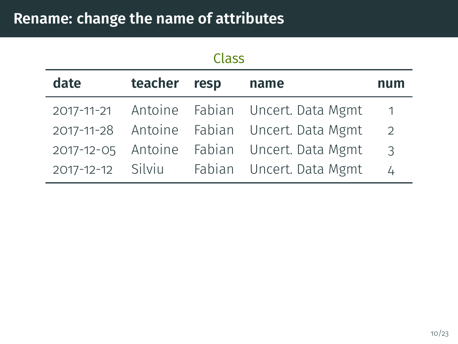| Class |              |  |                                             |                |  |  |
|-------|--------------|--|---------------------------------------------|----------------|--|--|
| date  | teacher resp |  | name                                        | num            |  |  |
|       |              |  | 2017-11-21 Antoine Fabian Uncert. Data Mgmt | $\sqrt{1}$     |  |  |
|       |              |  | 2017-11-28 Antoine Fabian Uncert. Data Mgmt | $\overline{2}$ |  |  |
|       |              |  | 2017-12-05 Antoine Fabian Uncert. Data Mgmt | 3              |  |  |
|       |              |  | 2017-12-12 Silviu Fabian Uncert. Data Mgmt  | 4              |  |  |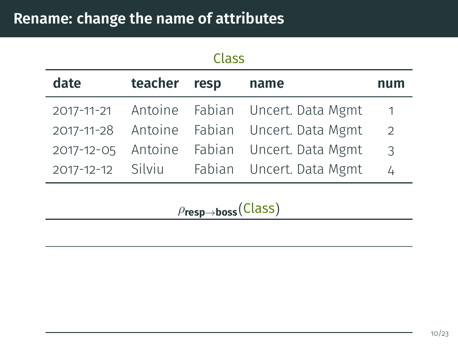| Class |              |  |                                             |                |  |
|-------|--------------|--|---------------------------------------------|----------------|--|
| date  | teacher resp |  | name                                        | num            |  |
|       |              |  | 2017-11-21 Antoine Fabian Uncert. Data Mgmt | $\overline{1}$ |  |
|       |              |  | 2017-11-28 Antoine Fabian Uncert. Data Mgmt | 2              |  |
|       |              |  | 2017-12-05 Antoine Fabian Uncert. Data Mgmt | $\overline{3}$ |  |
|       |              |  | 2017-12-12 Silviu Fabian Uncert. Data Mgmt  | $\overline{4}$ |  |

ρ**resp**→**boss**(Class)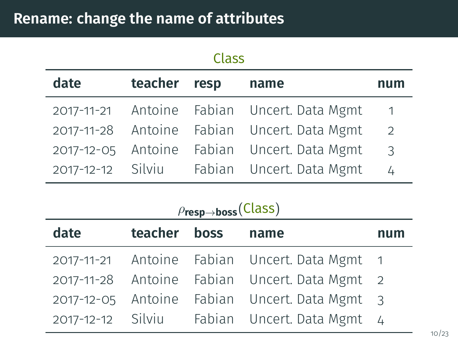| Class |              |  |                                             |                |  |  |
|-------|--------------|--|---------------------------------------------|----------------|--|--|
| date  | teacher resp |  | name                                        | num            |  |  |
|       |              |  | 2017-11-21 Antoine Fabian Uncert. Data Mgmt | $\overline{1}$ |  |  |
|       |              |  | 2017-11-28 Antoine Fabian Uncert. Data Mgmt | $\overline{2}$ |  |  |
|       |              |  | 2017-12-05 Antoine Fabian Uncert. Data Mgmt | $\mathcal{E}$  |  |  |
|       |              |  | 2017-12-12 Silviu Fabian Uncert. Data Mgmt  | $\overline{4}$ |  |  |

| date | teacher boss | name                                          | num |
|------|--------------|-----------------------------------------------|-----|
|      |              | 2017-11-21 Antoine Fabian Uncert. Data Mgmt 1 |     |
|      |              | 2017-11-28 Antoine Fabian Uncert. Data Mgmt 2 |     |
|      |              | 2017-12-05 Antoine Fabian Uncert. Data Mgmt 3 |     |
|      |              | 2017-12-12 Silviu Fabian Uncert. Data Mgmt 4  |     |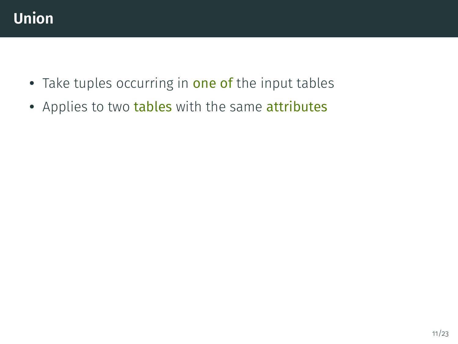

- Take tuples occurring in one of the input tables
- Applies to two tables with the same attributes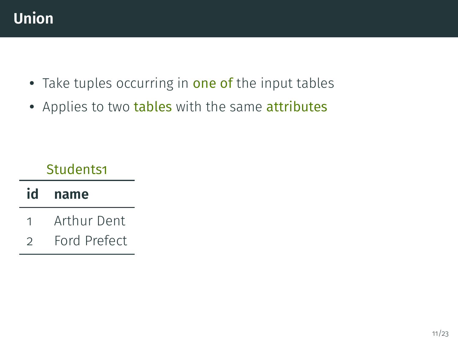

- Take tuples occurring in one of the input tables
- Applies to two tables with the same attributes

#### Students1

## **id name**

- 1 Arthur Dent
- 2 Ford Prefect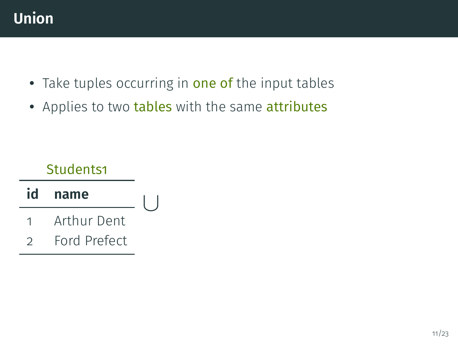

- Take tuples occurring in one of the input tables
- Applies to two tables with the same attributes

#### Students1

- **id name** 1 Arthur Dent ∪
- 2 Ford Prefect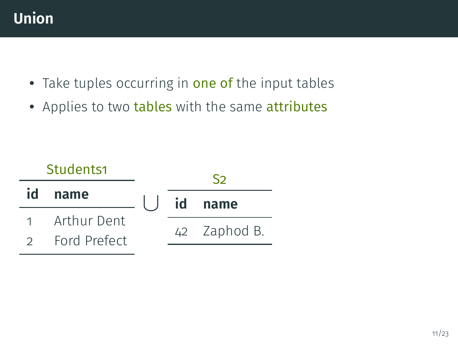

- Take tuples occurring in one of the input tables
- Applies to two tables with the same attributes

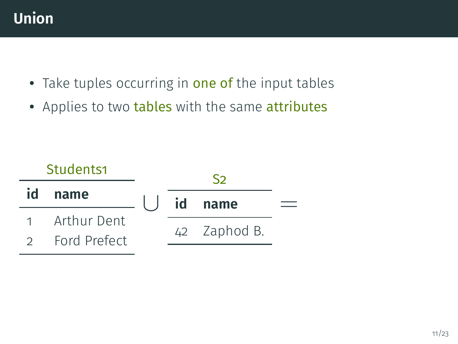

- Take tuples occurring in one of the input tables
- Applies to two tables with the same attributes

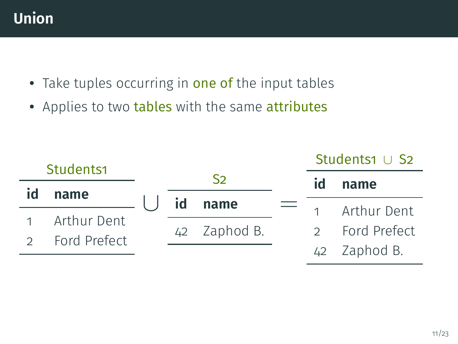

- Take tuples occurring in one of the input tables
- Applies to two tables with the same attributes

|               | Students1     |    |              | Students1 $\cup$ S2 |                |
|---------------|---------------|----|--------------|---------------------|----------------|
|               |               |    | S2           | id                  | name           |
| id            | name          | id | name         |                     |                |
|               | 1 Arthur Dent |    |              |                     | 1 Arthur Dent  |
|               |               |    | 42 Zaphod B. |                     | 2 Ford Prefect |
| $\mathcal{D}$ | Ford Prefect  |    |              |                     | 42 Zaphod B.   |
|               |               |    |              |                     |                |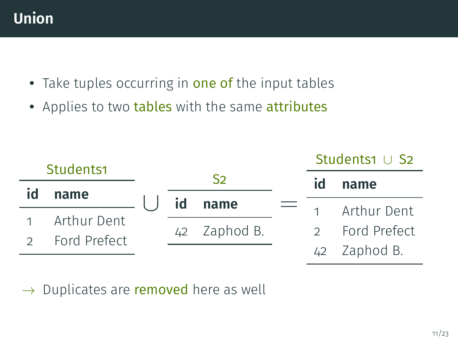

- Take tuples occurring in one of the input tables
- Applies to two tables with the same attributes

|               | Students1     |    |                | Students1 ∪ S2 |                |  |
|---------------|---------------|----|----------------|----------------|----------------|--|
|               |               |    | S <sub>2</sub> | id             | name           |  |
| id            | name          | id | name           |                |                |  |
|               | 1 Arthur Dent |    |                |                | 1 Arthur Dent  |  |
|               |               |    | 42 Zaphod B.   |                | 2 Ford Prefect |  |
| $\mathcal{D}$ | Ford Prefect  |    |                |                | 42 Zaphod B.   |  |
|               |               |    |                |                |                |  |

 $\rightarrow$  Duplicates are removed here as well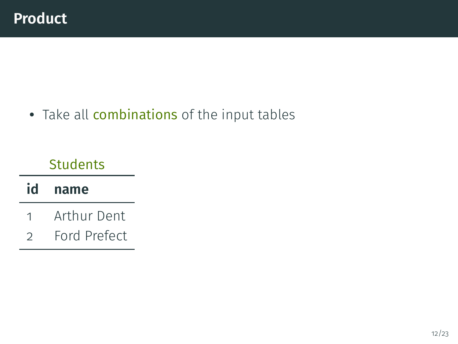**Students** 

### **id name**

- 1 Arthur Dent
- 2 Ford Prefect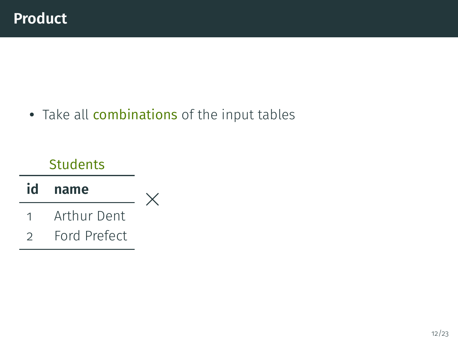### **Students**

#### **id name** 1 Arthur Dent 2 Ford Prefect ×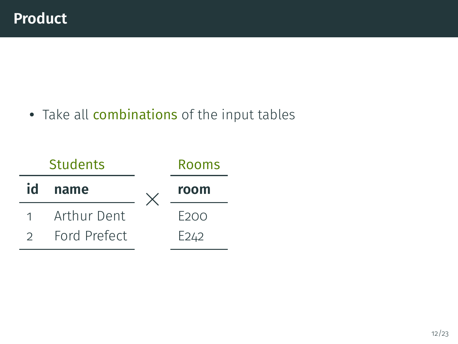• Take all combinations of the input tables

|               | <b>Students</b> | Rooms            |
|---------------|-----------------|------------------|
| id            | name            | room             |
| $1 \quad$     | Arthur Dent     | F200             |
| $\mathcal{D}$ | Ford Prefect    | E <sub>242</sub> |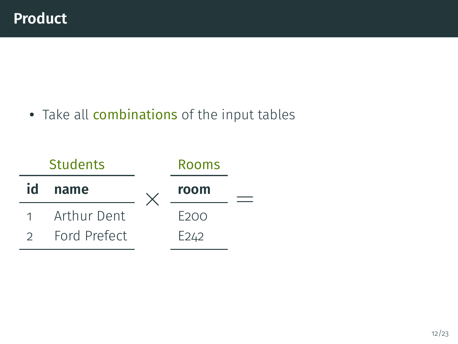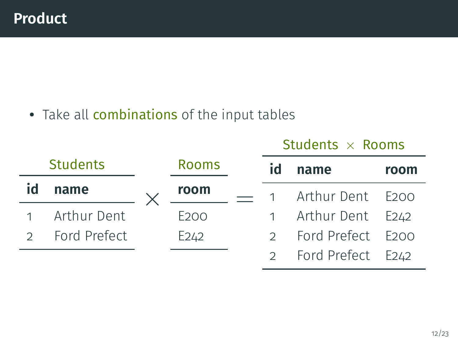|                 |              |                  | <b>JUUTILS X RUUIIIS</b> |                     |      |
|-----------------|--------------|------------------|--------------------------|---------------------|------|
| <b>Students</b> |              | <b>Rooms</b>     | id                       | name                | room |
| id              | name         | room             |                          | 1 Arthur Dent E200  |      |
|                 | Arthur Dent  | E <sub>200</sub> |                          | 1 Arthur Dent E242  |      |
| $\mathcal{D}$   | Ford Prefect | E <sub>242</sub> |                          | 2 Ford Prefect E200 |      |
|                 |              |                  |                          | 2 Ford Prefect E242 |      |

 $C+ud$ onte  $\vee$  Roome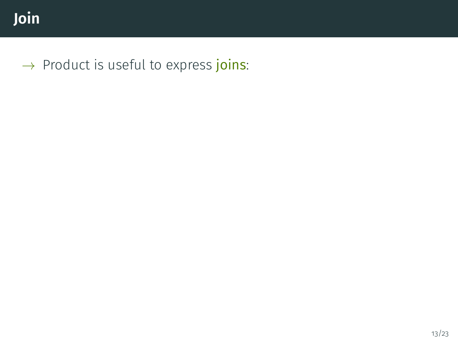$\rightarrow$  Product is useful to express joins: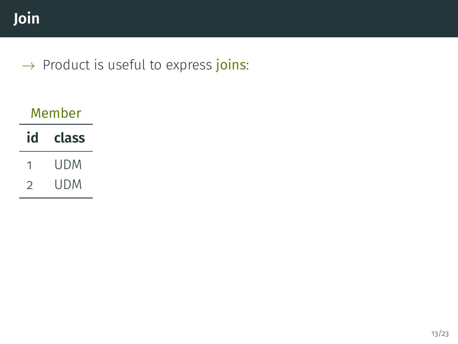## $\rightarrow$  Product is useful to express joins:

| Member |       |  |  |  |  |
|--------|-------|--|--|--|--|
| id     | class |  |  |  |  |
| 1      | udm   |  |  |  |  |
| つ      | udm   |  |  |  |  |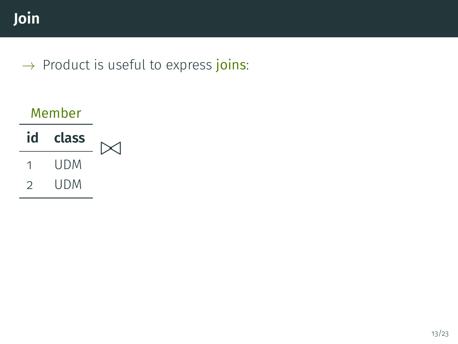| Member |       |  |
|--------|-------|--|
| id     | class |  |
| 1      | udm   |  |
| ン      | udm   |  |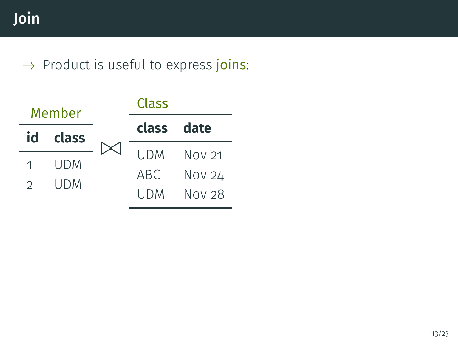| Member |             |  | Class      |               |  |  |  |
|--------|-------------|--|------------|---------------|--|--|--|
|        | class<br>id |  | class date |               |  |  |  |
|        |             |  | <b>UDM</b> | <b>Nov 21</b> |  |  |  |
|        | UDM<br>UDM  |  | ABC        | Nov 24        |  |  |  |
|        |             |  | UDM        | Nov 28        |  |  |  |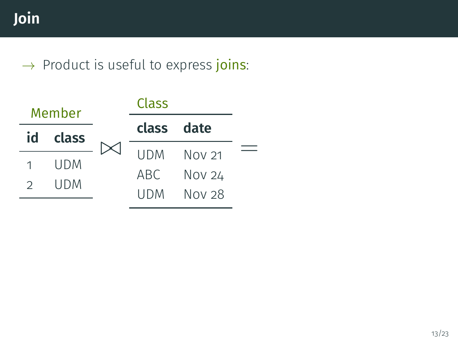| Member |            | Class      |            |
|--------|------------|------------|------------|
| id     | class      | class date |            |
|        |            |            | UDM Nov 21 |
|        | UDM<br>UDM | ABC.       | Nov 24     |
|        |            | UDM        | Nov 28     |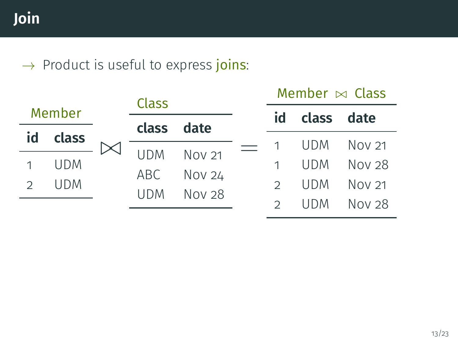|               |            |  | <b>Class</b> |               |  | Member $\bowtie$ Class |            |        |  |
|---------------|------------|--|--------------|---------------|--|------------------------|------------|--------|--|
|               | Member     |  | class        | date          |  | id                     | class date |        |  |
| id            | class      |  |              |               |  |                        | UDM        | Nov 21 |  |
| 1             | <b>UDM</b> |  | <b>IJDM</b>  | <b>Nov 21</b> |  |                        | <b>UDM</b> | Nov 28 |  |
| $\mathcal{D}$ | <b>UDM</b> |  | ABC .        | <b>Nov 24</b> |  |                        | <b>UDM</b> | Nov 21 |  |
|               |            |  | <b>UDM</b>   | Nov 28        |  |                        | UDM        | Nov 28 |  |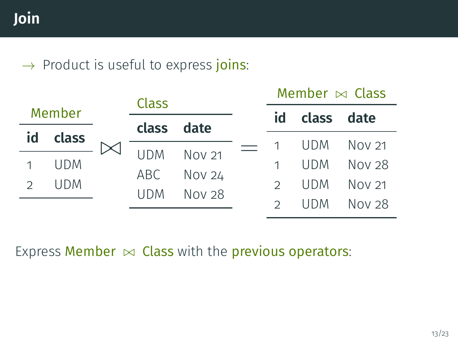|               |            |                                      | Class      |               |            | Member $\bowtie$ Class |            |        |  |
|---------------|------------|--------------------------------------|------------|---------------|------------|------------------------|------------|--------|--|
| Member        |            |                                      |            |               |            | id                     | class date |        |  |
| id            | class      |                                      | class      | date          |            |                        | <b>UDM</b> | Nov 21 |  |
| 1             | <b>UDM</b> |                                      | <b>UDM</b> | <b>Nov 21</b> |            | 1                      | <b>UDM</b> | Nov 28 |  |
| $\mathcal{D}$ | <b>UDM</b> | <b>Nov 24</b><br>ABC .<br><b>UDM</b> |            | $\mathcal{D}$ | <b>UDM</b> | Nov 21                 |            |        |  |
|               |            |                                      |            | <b>Nov 28</b> |            |                        | <b>UDM</b> | Nov 28 |  |

Express Member  $\bowtie$  Class with the previous operators: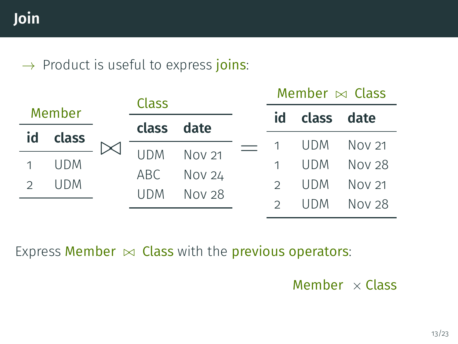|               |            |  | <b>Class</b>          |               |               | Member $\bowtie$ Class |            |        |  |
|---------------|------------|--|-----------------------|---------------|---------------|------------------------|------------|--------|--|
| Member        |            |  | class date            |               |               | id                     | class date |        |  |
| id            | class      |  |                       |               |               |                        | <b>UDM</b> | Nov 21 |  |
| 1             | <b>UDM</b> |  | <b>UDM</b>            | <b>Nov 21</b> |               | 1                      | <b>UDM</b> | Nov 28 |  |
| $\mathcal{D}$ | <b>UDM</b> |  | <b>Nov 24</b><br>ABC. |               | $\mathcal{D}$ | <b>UDM</b>             | Nov 21     |        |  |
|               |            |  | <b>UDM</b>            | <b>Nov 28</b> |               |                        | UDM.       | Nov 28 |  |

Express Member  $\bowtie$  Class with the previous operators:

Member  $\times$  Class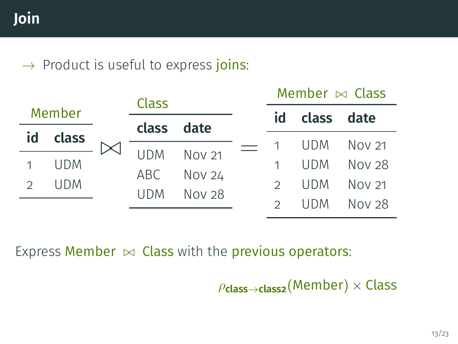|               |            |  | Class                                         |               |               | Member $\bowtie$ Class |            |        |  |
|---------------|------------|--|-----------------------------------------------|---------------|---------------|------------------------|------------|--------|--|
| Member        |            |  |                                               |               |               | id                     | class date |        |  |
| id            | class      |  | class                                         | date          |               |                        | UDM.       | Nov 21 |  |
| 1             | <b>UDM</b> |  | <b>UDM</b>                                    | <b>Nov 21</b> |               | 1                      | <b>UDM</b> | Nov 28 |  |
| $\mathcal{D}$ | <b>UDM</b> |  | <b>Nov 24</b><br>ABC.<br>Nov 28<br><b>UDM</b> |               | $\mathcal{D}$ | <b>UDM</b>             | Nov 21     |        |  |
|               |            |  |                                               |               |               |                        | UDM.       | Nov 28 |  |

Express Member  $\bowtie$  Class with the previous operators:

ρ**class**→**class2**(Member) × Class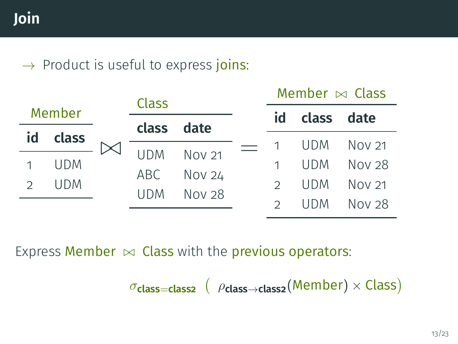|               |            |                                     | Class         |               |               | Member $\bowtie$ Class |            |        |  |
|---------------|------------|-------------------------------------|---------------|---------------|---------------|------------------------|------------|--------|--|
| Member        |            |                                     |               |               |               | id                     | class date |        |  |
| id            | class      |                                     | class         | date          |               |                        | UDM.       | Nov 21 |  |
| 1             | <b>UDM</b> |                                     | <b>UDM</b>    | <b>Nov 21</b> |               | 1                      | <b>UDM</b> | Nov 28 |  |
| $\mathcal{D}$ | <b>UDM</b> | <b>Nov 24</b><br>ABC.<br><b>UDM</b> | <b>Nov 28</b> |               | $\mathcal{D}$ | <b>UDM</b>             | Nov 21     |        |  |
|               |            |                                     |               |               |               |                        | UDM.       | Nov 28 |  |

Express Member  $\bowtie$  Class with the previous operators:

 $σ$ **class=class2** (  $ρ$ **class→class2**(Member) × Class)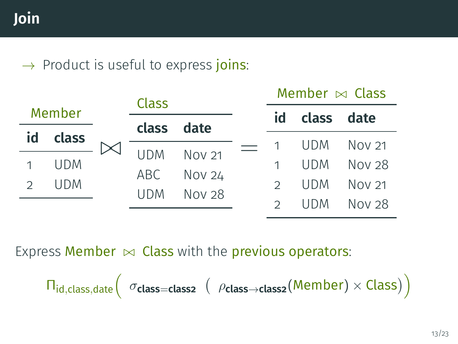|               |            |  | <b>Class</b> |               |  | Member $\bowtie$ Class |            |        |  |
|---------------|------------|--|--------------|---------------|--|------------------------|------------|--------|--|
| Member        |            |  |              |               |  | id                     | class date |        |  |
| id            | class      |  | class        | date          |  |                        | <b>UDM</b> | Nov 21 |  |
| 1             | <b>UDM</b> |  | <b>UDM</b>   | <b>Nov 21</b> |  |                        | <b>UDM</b> | Nov 28 |  |
| $\mathcal{D}$ | <b>UDM</b> |  | ABC          | <b>Nov 24</b> |  | $\mathcal{D}$          | <b>UDM</b> | Nov 21 |  |
|               |            |  | <b>UDM</b>   | Nov 28        |  |                        | UDM.       | Nov 28 |  |

Express Member  $\bowtie$  Class with the previous operators:

$$
\Pi_{\mathsf{id}, \mathsf{class}, \mathsf{date}} \Big( \text{ } \sigma_{\mathsf{class} = \mathsf{class}} \text{ } \big( \text{ } \rho_{\mathsf{class} \rightarrow \mathsf{class2}} (\mathsf{Member}) \times \mathsf{Class} \big) \Big)
$$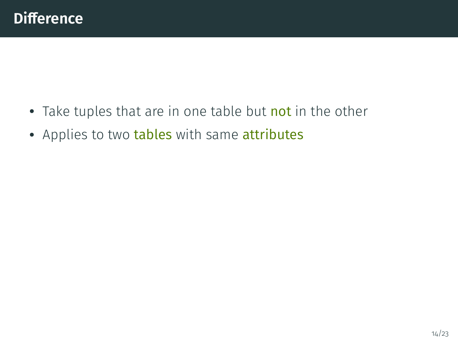- Take tuples that are in one table but not in the other
- Applies to two tables with same attributes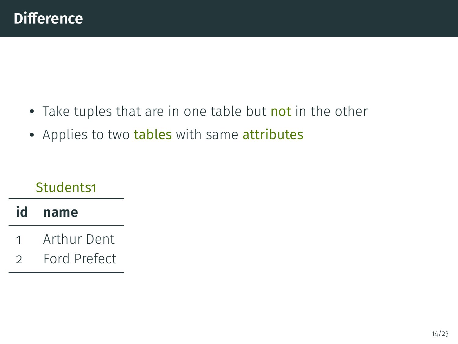- Take tuples that are in one table but not in the other
- Applies to two tables with same attributes

### Students1

### **id name**

- 1 Arthur Dent
- 2 Ford Prefect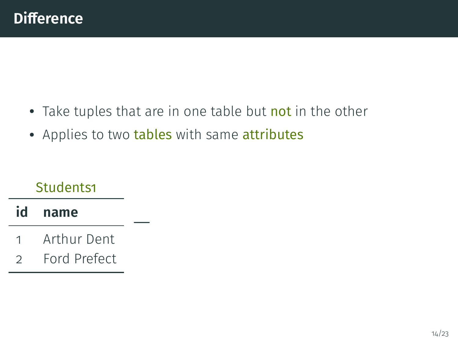- Take tuples that are in one table but not in the other
- Applies to two tables with same attributes

−

### Students1

### **id name**

- 1 Arthur Dent
- 2 Ford Prefect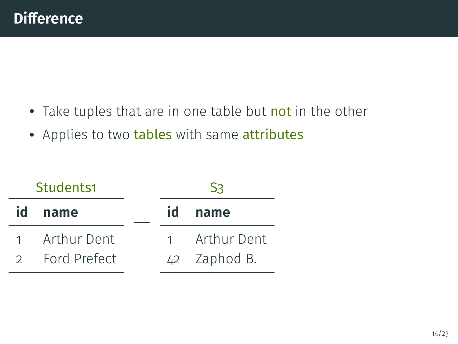- Take tuples that are in one table but not in the other
- Applies to two tables with same attributes

|               | Students1    |           | S٦           |
|---------------|--------------|-----------|--------------|
| id            | name         | id        | name         |
| $1 \quad$     | Arthur Dent  | $1 \quad$ | Arthur Dent  |
| $\mathcal{D}$ | Ford Prefect |           | 42 Zaphod B. |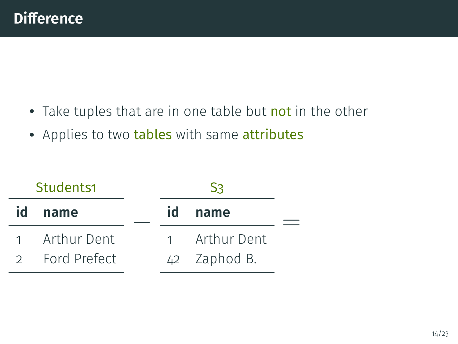- Take tuples that are in one table but not in the other
- Applies to two tables with same attributes

|               | Students1    |    | Sз           |  |
|---------------|--------------|----|--------------|--|
| id            | name         | id | name         |  |
|               | Arthur Dent  |    | Arthur Dent  |  |
| $\mathcal{D}$ | Ford Prefect |    | 42 Zaphod B. |  |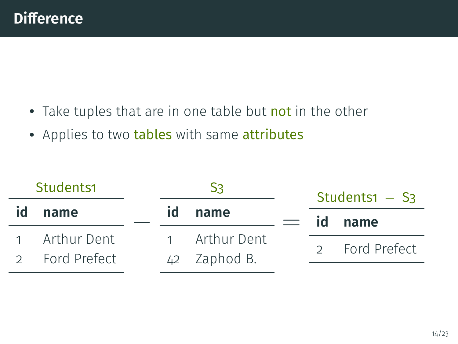- Take tuples that are in one table but not in the other
- Applies to two tables with same attributes

| Students1 |                | S٩ |    |              | Students1 $-$ S <sub>3</sub> |              |  |
|-----------|----------------|----|----|--------------|------------------------------|--------------|--|
| id        | name           |    | id | name         |                              | id name      |  |
|           | 1 Arthur Dent  |    |    | Arthur Dent  |                              | Ford Prefect |  |
|           | 2 Ford Prefect |    |    | 42 Zaphod B. |                              |              |  |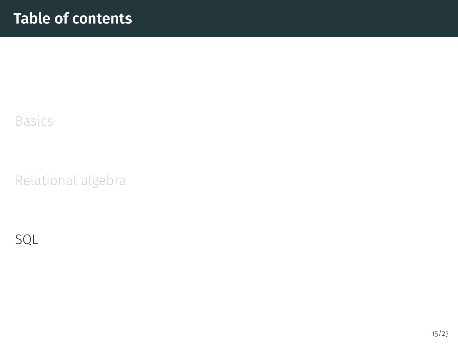### <span id="page-51-0"></span>[Basics](#page-1-0)

[Relational algebra](#page-9-0)

[SQL](#page-51-0)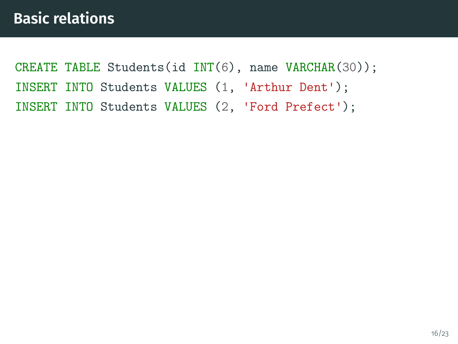CREATE TABLE Students(id INT(6), name VARCHAR(30)); INSERT INTO Students VALUES (1, 'Arthur Dent'); INSERT INTO Students VALUES (2, 'Ford Prefect');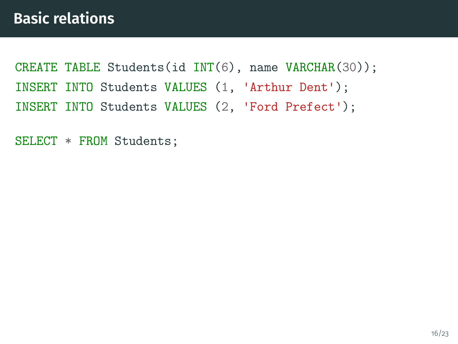CREATE TABLE Students(id INT(6), name VARCHAR(30)); INSERT INTO Students VALUES (1, 'Arthur Dent'); INSERT INTO Students VALUES (2, 'Ford Prefect');

SELECT \* FROM Students;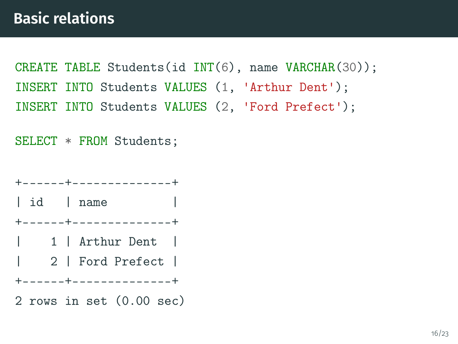CREATE TABLE Students(id INT(6), name VARCHAR(30)); INSERT INTO Students VALUES (1, 'Arthur Dent'); INSERT INTO Students VALUES (2, 'Ford Prefect');

SELECT \* FROM Students;

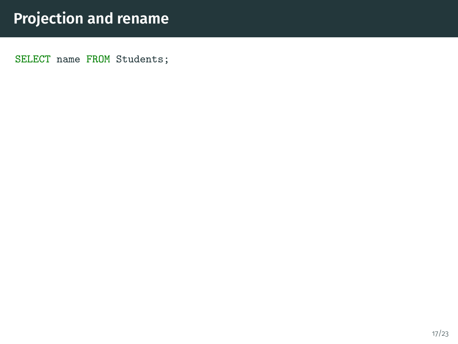SELECT name FROM Students;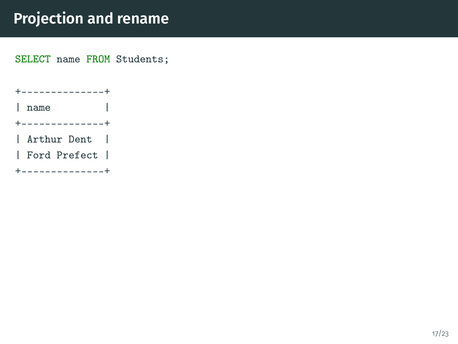SELECT name FROM Students;

+--------------+ | name | +--------------+ | Arthur Dent | | Ford Prefect | +--------------+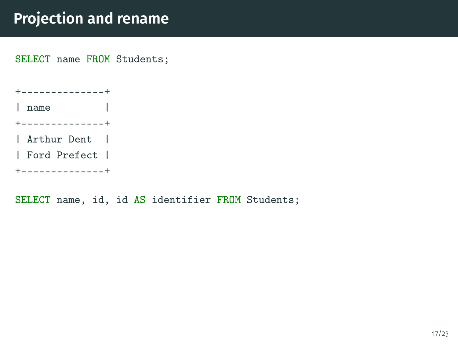SELECT name FROM Students;

+--------------+ | name | +--------------+ | Arthur Dent | | Ford Prefect | +--------------+

SELECT name, id, id AS identifier FROM Students;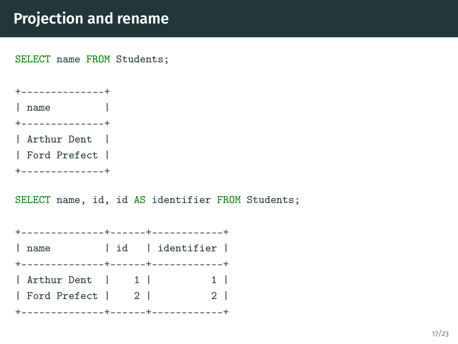SELECT name FROM Students;

+--------------+ | name |

+--------------+

| Arthur Dent |

| Ford Prefect |

+--------------+

SELECT name, id, id AS identifier FROM Students;

| +--------------+------+-------------- |  |  |                 |                |
|---------------------------------------|--|--|-----------------|----------------|
| name                                  |  |  | id   identifier |                |
| +--------------+------+-------------+ |  |  |                 |                |
| Arthur Dent   1                       |  |  |                 | $1 \mid$       |
| Ford Prefect   2                      |  |  |                 | 2 <sup>1</sup> |
| +--------------+------+-------------- |  |  |                 |                |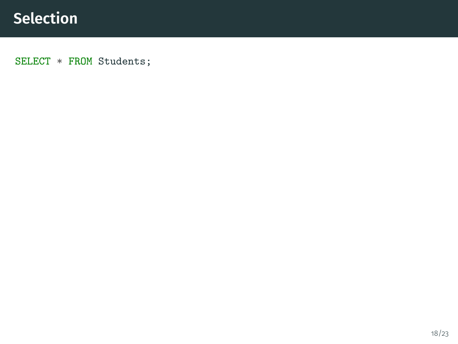SELECT \* FROM Students;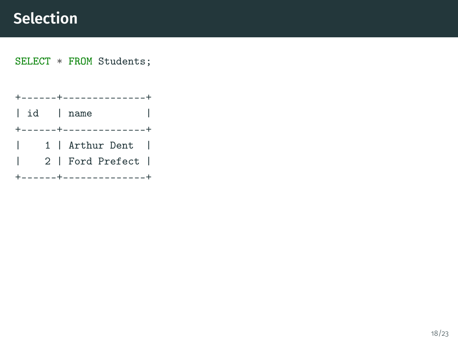# **Selection**

#### SELECT \* FROM Students;

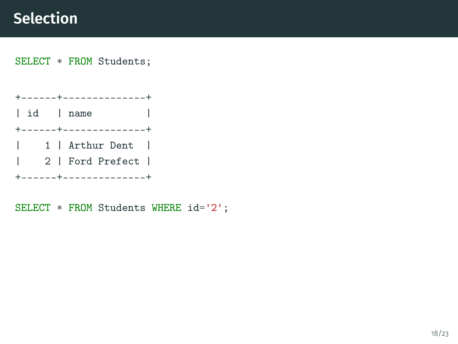# **Selection**

SELECT \* FROM Students;

+------+--------------+ | id | name +------+--------------+ | 1 | Arthur Dent | | 2 | Ford Prefect | +------+--------------+

SELECT \* FROM Students WHERE id='2';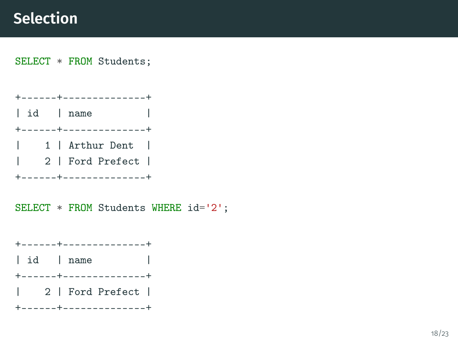# **Selection**

#### SELECT \* FROM Students;

+------+--------------+ | id | name +------+--------------+ | 1 | Arthur Dent | | 2 | Ford Prefect | +------+--------------+

SELECT \* FROM Students WHERE id='2';

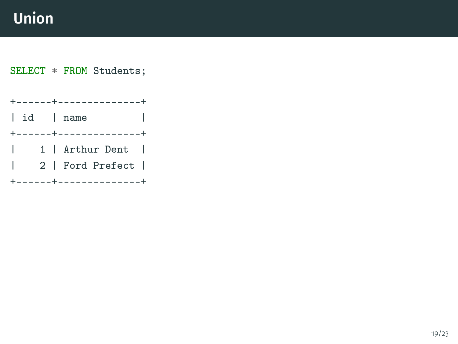SELECT \* FROM Students;

+------+--------------+ | id | name +------+--------------+ | 1 | Arthur Dent | | 2 | Ford Prefect | +------+--------------+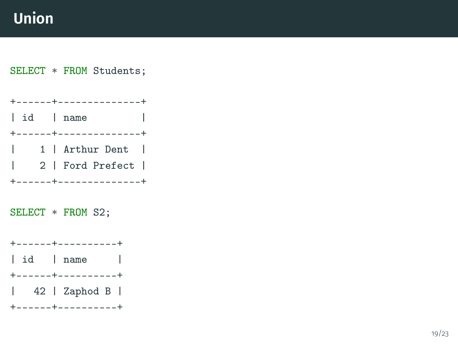SELECT \* FROM Students;

+------+--------------+ | id | name +------+--------------+ | 1 | Arthur Dent | | 2 | Ford Prefect | +------+--------------+

SELECT \* FROM S2;

+------+----------+ | id | name | +------+----------+ | 42 | Zaphod B | +------+----------+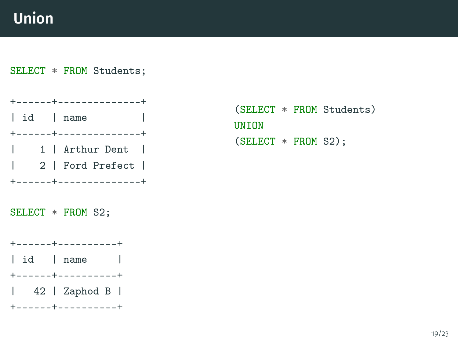#### SELECT \* FROM Students;



SELECT \* FROM S2;

+------+----------+ | id | name | +------+----------+ | 42 | Zaphod B | +------+----------+

(SELECT \* FROM Students) **UNTON** (SELECT \* FROM S2);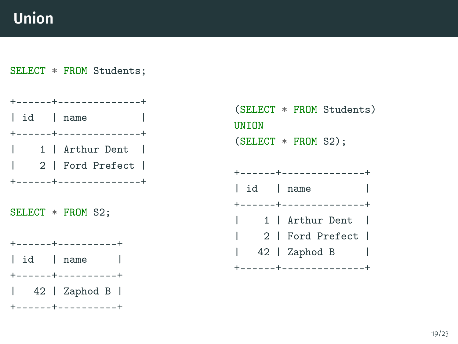#### SELECT \* FROM Students;



```
(SELECT * FROM Students)
UNTON
(SELECT * FROM S2);
```

```
+------+--------------+
| id | name |
+------+--------------+
| 1 | Arthur Dent |
| 2 | Ford Prefect |
| 42 | Zaphod B |
+------+--------------+
```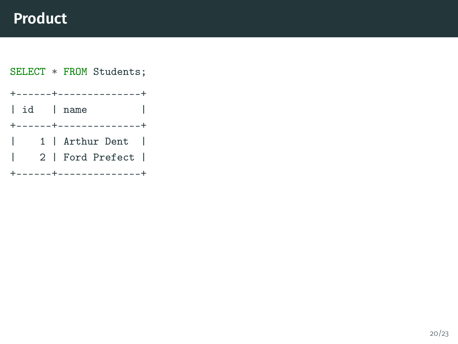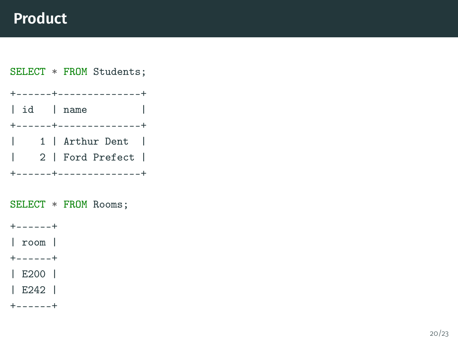SELECT \* FROM Students; +------+--------------+ | id | name +------+--------------+ | 1 | Arthur Dent | | 2 | Ford Prefect | +------+--------------+ SELECT \* FROM Rooms;  $+$ -----+ | room | +------+ | E200 | | E242 | +------+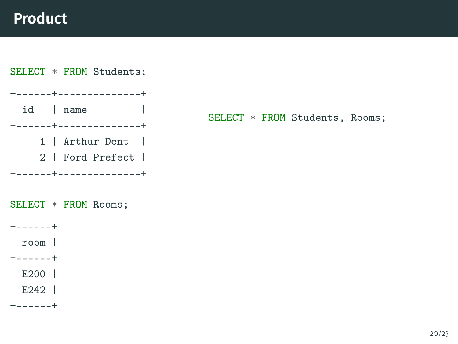

| E242 |

 $+$ -----+

SELECT \* FROM Students, Rooms;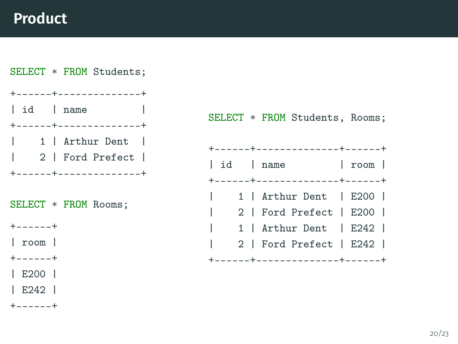

SELECT \* FROM Students, Rooms;

|              |              |  | +------+---------------+------+              |              |  |
|--------------|--------------|--|----------------------------------------------|--------------|--|
|              |              |  | id   name<br>+------+---------------+------+ | $ $ room $ $ |  |
|              |              |  |                                              |              |  |
|              | $\mathbf{L}$ |  | 1   Arthur Dent   E200                       |              |  |
| $\mathbf{I}$ |              |  | 2   Ford Prefect   E200                      |              |  |
| $\mathbf{I}$ |              |  | 1   Arthur Dent   E242                       |              |  |
| $\mathbf{I}$ |              |  | 2   Ford Prefect   E242                      |              |  |
|              |              |  | +------+---------------+-----+               |              |  |
|              |              |  |                                              |              |  |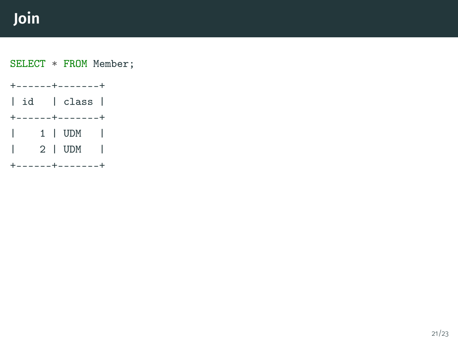# **Join**

SELECT \* FROM Member;

+------+-------+ | id | class | +------+-------+ | 1 | UDM | | 2 | UDM | +------+-------+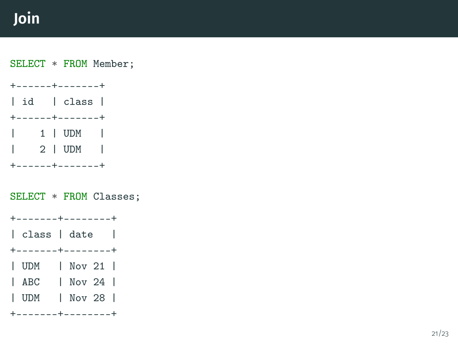# **Join**

SELECT \* FROM Member;

+------+-------+ | id | class | +------+-------+ | 1 | UDM | | 2 | UDM | +------+-------+

SELECT \* FROM Classes;

+-------+--------+

| class | date |

+-------+--------+

| UDM | Nov 21 |

| ABC | Nov 24 |

| UDM | Nov 28 |

+-------+--------+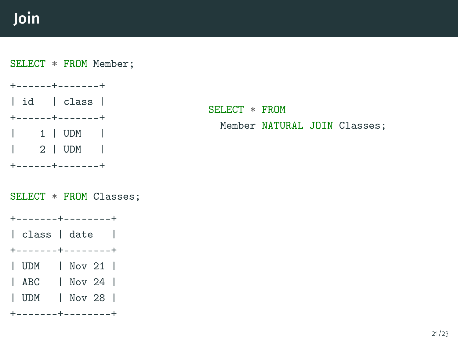# **Join**

SELECT \* FROM Member;

+------+-------+ | id | class | +------+-------+ | 1 | UDM | | 2 | UDM | +------+-------+

SELECT \* FROM Member NATURAL JOIN Classes;

SELECT \* FROM Classes;

+-------+--------+

| class | date |

+-------+--------+

| UDM | Nov 21 |

| ABC | Nov 24 |

| UDM | Nov 28 |

+-------+--------+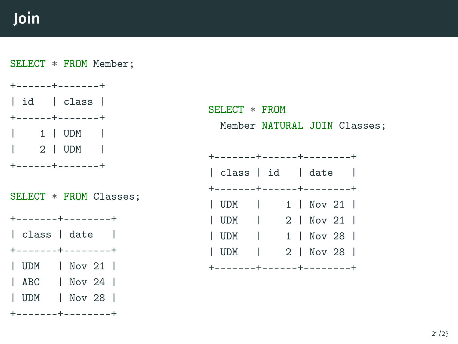## **Join**

SELECT \* FROM Member;

+------+-------+ | id | class | +------+-------+ 1 | UDM |  $\vert$  2 | UDM +------+-------+

SELECT \* FROM Classes;

+-------+--------+ | class | date | +-------+--------+ | UDM | Nov 21 |

| ABC | Nov 24 |

| UDM | Nov 28 |

+-------+--------+

SELECT \* FROM Member NATURAL JOIN Classes;

| +-------+------+--------+ |   |                   |  |  |            |  |
|---------------------------|---|-------------------|--|--|------------|--|
|                           |   | class   id   date |  |  |            |  |
| +-------+------+--------+ |   |                   |  |  |            |  |
| $ $ UDM $ $               |   |                   |  |  | 1   Nov 21 |  |
| $ $ UDM $ $               |   |                   |  |  | 2   Nov 21 |  |
| I UDM                     | I |                   |  |  | 1   Nov 28 |  |
| l udm                     | T |                   |  |  | 2   Nov 28 |  |
| +-------+------+--------+ |   |                   |  |  |            |  |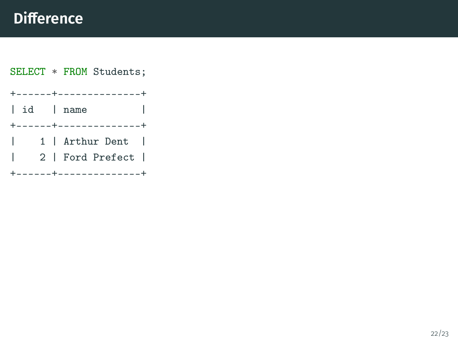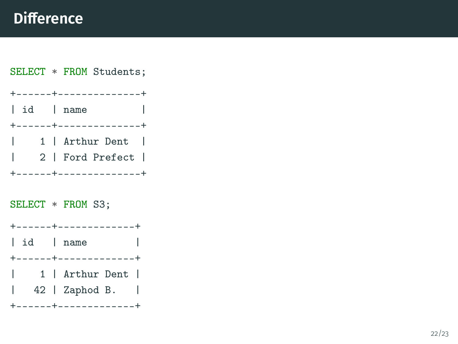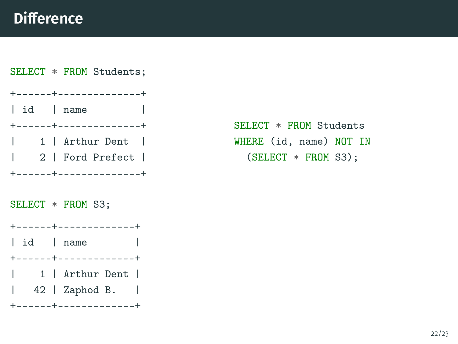

```
SELECT * FROM Students
WHERE (id, name) NOT IN
  (SELECT * FROM S3);
```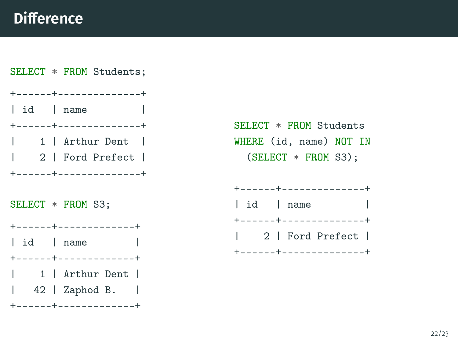

SELECT \* FROM Students WHERE (id, name) NOT IN (SELECT \* FROM S3);

|  |  |           | $+ - - - - - - + - - - - - - - - - - - - - - +$ |  |
|--|--|-----------|-------------------------------------------------|--|
|  |  | id   name |                                                 |  |
|  |  |           | $+ - - - - - - + - - - - - - - - - - - - - - +$ |  |
|  |  |           | 2   Ford Prefect                                |  |
|  |  |           | $+ - - - - - - + - - - - - - - - - - - - - - +$ |  |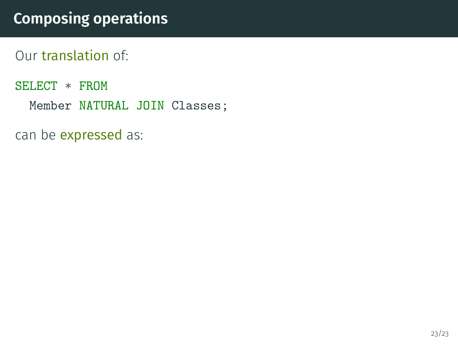## **Composing operations**

Our translation of:

SELECT \* FROM

Member NATURAL JOIN Classes;

can be *expressed* as: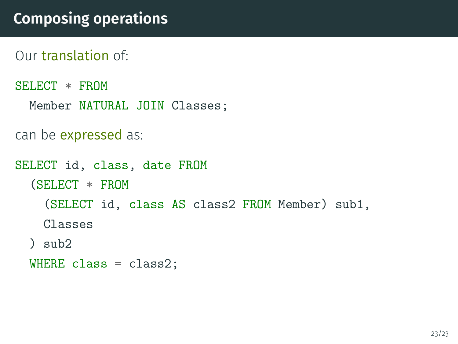```
Our translation of:
```

```
SELECT * FROM
  Member NATURAL JOIN Classes;
```

```
can be expressed as:
```

```
SELECT id, class, date FROM
  (SELECT * FROM
    (SELECT id, class AS class2 FROM Member) sub1,
    Classes
  ) sub2
```
WHERE class =  $class2$ ;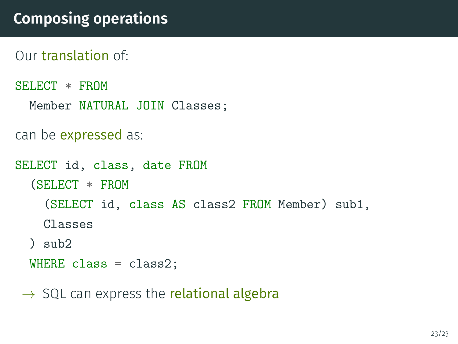```
Our translation of:
```

```
SELECT * FROM
  Member NATURAL JOIN Classes;
```

```
can be expressed as:
```

```
SELECT id, class, date FROM
  (SELECT * FROM
    (SELECT id, class AS class2 FROM Member) sub1,
    Classes
  ) sub2
  WHERE class = class2:
```

```
\rightarrow SQL can express the relational algebra
```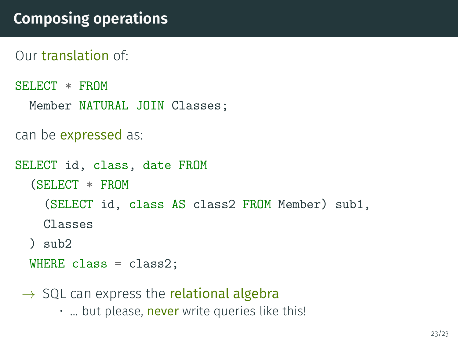```
Our translation of:
```

```
SELECT * FROM
  Member NATURAL JOIN Classes;
```

```
can be expressed as:
```

```
SELECT id, class, date FROM
  (SELECT * FROM
    (SELECT id, class AS class2 FROM Member) sub1,
    Classes
  ) sub2
  WHERE class = class2:
```

```
\rightarrow SQL can express the relational algebra
```
• ... but please, never write queries like this!